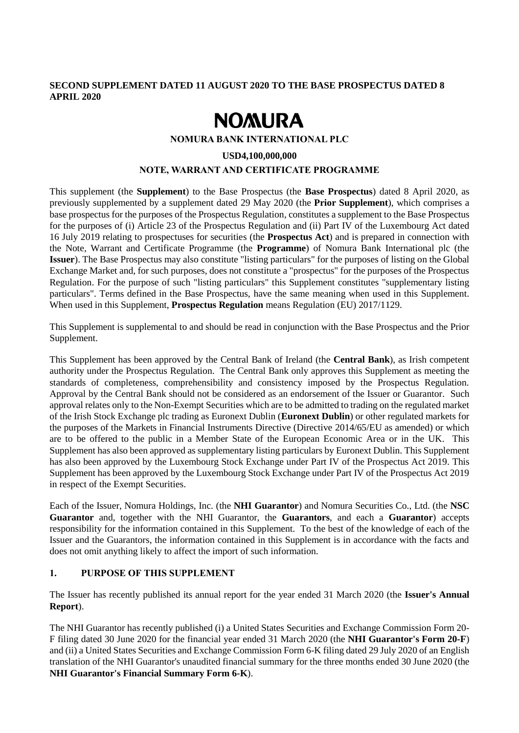# **SECOND SUPPLEMENT DATED 11 AUGUST 2020 TO THE BASE PROSPECTUS DATED 8 APRIL 2020**

# **NOMURA**

#### **NOMURA BANK INTERNATIONAL PLC**

#### **USD4,100,000,000**

# **NOTE, WARRANT AND CERTIFICATE PROGRAMME**

This supplement (the **Supplement**) to the Base Prospectus (the **Base Prospectus**) dated 8 April 2020, as previously supplemented by a supplement dated 29 May 2020 (the **Prior Supplement**), which comprises a base prospectus for the purposes of the Prospectus Regulation, constitutes a supplement to the Base Prospectus for the purposes of (i) Article 23 of the Prospectus Regulation and (ii) Part IV of the Luxembourg Act dated 16 July 2019 relating to prospectuses for securities (the **Prospectus Act**) and is prepared in connection with the Note, Warrant and Certificate Programme (the **Programme**) of Nomura Bank International plc (the **Issuer**). The Base Prospectus may also constitute "listing particulars" for the purposes of listing on the Global Exchange Market and, for such purposes, does not constitute a "prospectus" for the purposes of the Prospectus Regulation. For the purpose of such "listing particulars" this Supplement constitutes "supplementary listing particulars". Terms defined in the Base Prospectus, have the same meaning when used in this Supplement. When used in this Supplement, **Prospectus Regulation** means Regulation (EU) 2017/1129.

This Supplement is supplemental to and should be read in conjunction with the Base Prospectus and the Prior Supplement.

This Supplement has been approved by the Central Bank of Ireland (the **Central Bank**), as Irish competent authority under the Prospectus Regulation. The Central Bank only approves this Supplement as meeting the standards of completeness, comprehensibility and consistency imposed by the Prospectus Regulation. Approval by the Central Bank should not be considered as an endorsement of the Issuer or Guarantor. Such approval relates only to the Non-Exempt Securities which are to be admitted to trading on the regulated market of the Irish Stock Exchange plc trading as Euronext Dublin (**Euronext Dublin**) or other regulated markets for the purposes of the Markets in Financial Instruments Directive (Directive 2014/65/EU as amended) or which are to be offered to the public in a Member State of the European Economic Area or in the UK. This Supplement has also been approved as supplementary listing particulars by Euronext Dublin. This Supplement has also been approved by the Luxembourg Stock Exchange under Part IV of the Prospectus Act 2019. This Supplement has been approved by the Luxembourg Stock Exchange under Part IV of the Prospectus Act 2019 in respect of the Exempt Securities.

Each of the Issuer, Nomura Holdings, Inc. (the **NHI Guarantor**) and Nomura Securities Co., Ltd. (the **NSC Guarantor** and, together with the NHI Guarantor, the **Guarantors**, and each a **Guarantor**) accepts responsibility for the information contained in this Supplement. To the best of the knowledge of each of the Issuer and the Guarantors, the information contained in this Supplement is in accordance with the facts and does not omit anything likely to affect the import of such information.

# **1. PURPOSE OF THIS SUPPLEMENT**

The Issuer has recently published its annual report for the year ended 31 March 2020 (the **Issuer's Annual Report**).

The NHI Guarantor has recently published (i) a United States Securities and Exchange Commission Form 20- F filing dated 30 June 2020 for the financial year ended 31 March 2020 (the **NHI Guarantor's Form 20-F**) and (ii) a United States Securities and Exchange Commission Form 6-K filing dated 29 July 2020 of an English translation of the NHI Guarantor's unaudited financial summary for the three months ended 30 June 2020 (the **NHI Guarantor's Financial Summary Form 6-K**).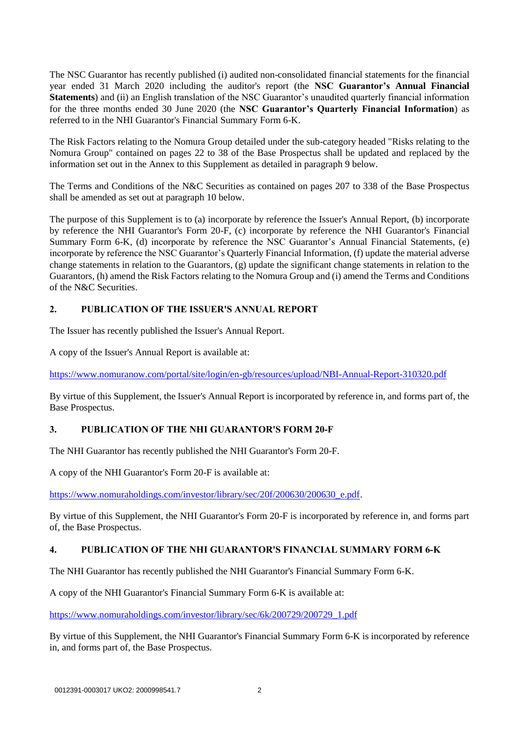The NSC Guarantor has recently published (i) audited non-consolidated financial statements for the financial year ended 31 March 2020 including the auditor's report (the **NSC Guarantor's Annual Financial Statements**) and (ii) an English translation of the NSC Guarantor's unaudited quarterly financial information for the three months ended 30 June 2020 (the **NSC Guarantor's Quarterly Financial Information**) as referred to in the NHI Guarantor's Financial Summary Form 6-K.

The Risk Factors relating to the Nomura Group detailed under the sub-category headed "Risks relating to the Nomura Group" contained on pages 22 to 38 of the Base Prospectus shall be updated and replaced by the information set out in the Annex to this Supplement as detailed in paragraph 9 below.

The Terms and Conditions of the N&C Securities as contained on pages 207 to 338 of the Base Prospectus shall be amended as set out at paragraph 10 below.

The purpose of this Supplement is to (a) incorporate by reference the Issuer's Annual Report, (b) incorporate by reference the NHI Guarantor's Form 20-F, (c) incorporate by reference the NHI Guarantor's Financial Summary Form 6-K, (d) incorporate by reference the NSC Guarantor's Annual Financial Statements, (e) incorporate by reference the NSC Guarantor's Quarterly Financial Information, (f) update the material adverse change statements in relation to the Guarantors, (g) update the significant change statements in relation to the Guarantors, (h) amend the Risk Factors relating to the Nomura Group and (i) amend the Terms and Conditions of the N&C Securities.

# **2. PUBLICATION OF THE ISSUER'S ANNUAL REPORT**

The Issuer has recently published the Issuer's Annual Report.

A copy of the Issuer's Annual Report is available at:

<https://www.nomuranow.com/portal/site/login/en-gb/resources/upload/NBI-Annual-Report-310320.pdf>

By virtue of this Supplement, the Issuer's Annual Report is incorporated by reference in, and forms part of, the Base Prospectus.

# **3. PUBLICATION OF THE NHI GUARANTOR'S FORM 20-F**

The NHI Guarantor has recently published the NHI Guarantor's Form 20-F.

A copy of the NHI Guarantor's Form 20-F is available at:

[https://www.nomuraholdings.com/investor/library/sec/20f/200630/200630\\_e.pdf.](https://www.nomuraholdings.com/investor/library/sec/20f/200630/200630_e.pdf)

By virtue of this Supplement, the NHI Guarantor's Form 20-F is incorporated by reference in, and forms part of, the Base Prospectus.

# **4. PUBLICATION OF THE NHI GUARANTOR'S FINANCIAL SUMMARY FORM 6-K**

The NHI Guarantor has recently published the NHI Guarantor's Financial Summary Form 6-K.

A copy of the NHI Guarantor's Financial Summary Form 6-K is available at:

[https://www.nomuraholdings.com/investor/library/sec/6k/200729/200729\\_1.pdf](https://www.nomuraholdings.com/investor/library/sec/6k/200729/200729_1.pdf)

By virtue of this Supplement, the NHI Guarantor's Financial Summary Form 6-K is incorporated by reference in, and forms part of, the Base Prospectus.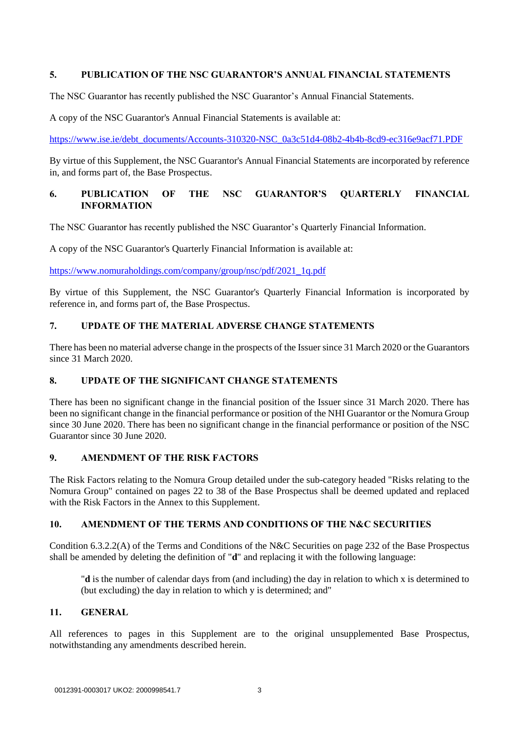# **5. PUBLICATION OF THE NSC GUARANTOR'S ANNUAL FINANCIAL STATEMENTS**

The NSC Guarantor has recently published the NSC Guarantor's Annual Financial Statements.

A copy of the NSC Guarantor's Annual Financial Statements is available at:

[https://www.ise.ie/debt\\_documents/Accounts-310320-NSC\\_0a3c51d4-08b2-4b4b-8cd9-ec316e9acf71.PDF](https://www.ise.ie/debt_documents/Accounts-310320-NSC_0a3c51d4-08b2-4b4b-8cd9-ec316e9acf71.PDF)

By virtue of this Supplement, the NSC Guarantor's Annual Financial Statements are incorporated by reference in, and forms part of, the Base Prospectus.

# **6. PUBLICATION OF THE NSC GUARANTOR'S QUARTERLY FINANCIAL INFORMATION**

The NSC Guarantor has recently published the NSC Guarantor's Quarterly Financial Information.

A copy of the NSC Guarantor's Quarterly Financial Information is available at:

[https://www.nomuraholdings.com/company/group/nsc/pdf/2021\\_1q.pdf](https://www.nomuraholdings.com/company/group/nsc/pdf/2021_1q.pdf)

By virtue of this Supplement, the NSC Guarantor's Quarterly Financial Information is incorporated by reference in, and forms part of, the Base Prospectus.

# **7. UPDATE OF THE MATERIAL ADVERSE CHANGE STATEMENTS**

There has been no material adverse change in the prospects of the Issuer since 31 March 2020 or the Guarantors since 31 March 2020.

# **8. UPDATE OF THE SIGNIFICANT CHANGE STATEMENTS**

There has been no significant change in the financial position of the Issuer since 31 March 2020. There has been no significant change in the financial performance or position of the NHI Guarantor or the Nomura Group since 30 June 2020. There has been no significant change in the financial performance or position of the NSC Guarantor since 30 June 2020.

## **9. AMENDMENT OF THE RISK FACTORS**

The Risk Factors relating to the Nomura Group detailed under the sub-category headed "Risks relating to the Nomura Group" contained on pages 22 to 38 of the Base Prospectus shall be deemed updated and replaced with the Risk Factors in the Annex to this Supplement.

# **10. AMENDMENT OF THE TERMS AND CONDITIONS OF THE N&C SECURITIES**

Condition 6.3.2.2(A) of the Terms and Conditions of the N&C Securities on page 232 of the Base Prospectus shall be amended by deleting the definition of "**d**" and replacing it with the following language:

"**d** is the number of calendar days from (and including) the day in relation to which x is determined to (but excluding) the day in relation to which y is determined; and"

#### **11. GENERAL**

All references to pages in this Supplement are to the original unsupplemented Base Prospectus, notwithstanding any amendments described herein.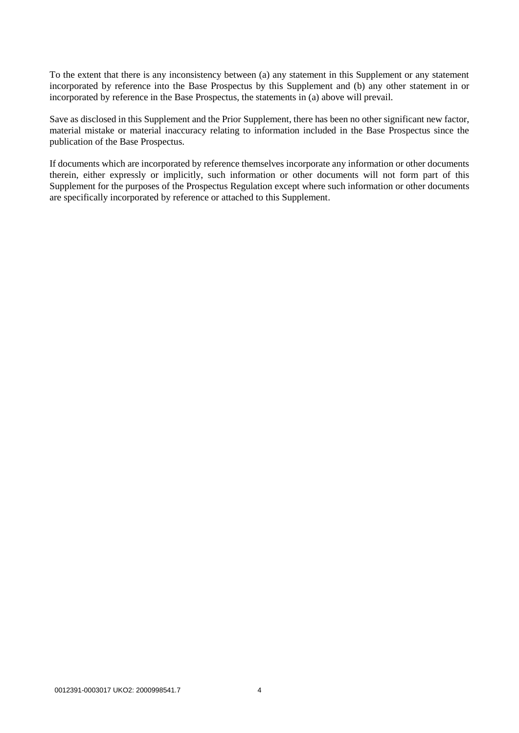To the extent that there is any inconsistency between (a) any statement in this Supplement or any statement incorporated by reference into the Base Prospectus by this Supplement and (b) any other statement in or incorporated by reference in the Base Prospectus, the statements in (a) above will prevail.

Save as disclosed in this Supplement and the Prior Supplement, there has been no other significant new factor, material mistake or material inaccuracy relating to information included in the Base Prospectus since the publication of the Base Prospectus.

If documents which are incorporated by reference themselves incorporate any information or other documents therein, either expressly or implicitly, such information or other documents will not form part of this Supplement for the purposes of the Prospectus Regulation except where such information or other documents are specifically incorporated by reference or attached to this Supplement.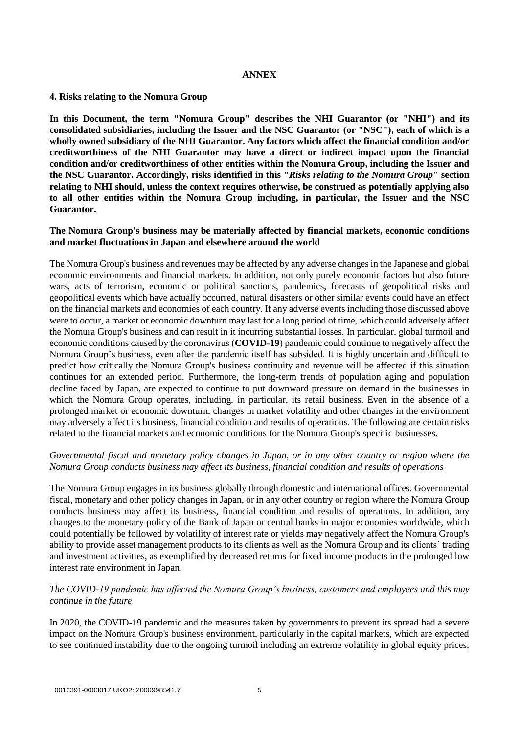#### **ANNEX**

#### **4. Risks relating to the Nomura Group**

**In this Document, the term "Nomura Group" describes the NHI Guarantor (or "NHI") and its consolidated subsidiaries, including the Issuer and the NSC Guarantor (or "NSC"), each of which is a wholly owned subsidiary of the NHI Guarantor. Any factors which affect the financial condition and/or creditworthiness of the NHI Guarantor may have a direct or indirect impact upon the financial condition and/or creditworthiness of other entities within the Nomura Group, including the Issuer and the NSC Guarantor. Accordingly, risks identified in this "***Risks relating to the Nomura Group***" section relating to NHI should, unless the context requires otherwise, be construed as potentially applying also to all other entities within the Nomura Group including, in particular, the Issuer and the NSC Guarantor.**

#### **The Nomura Group's business may be materially affected by financial markets, economic conditions and market fluctuations in Japan and elsewhere around the world**

The Nomura Group's business and revenues may be affected by any adverse changes in the Japanese and global economic environments and financial markets. In addition, not only purely economic factors but also future wars, acts of terrorism, economic or political sanctions, pandemics, forecasts of geopolitical risks and geopolitical events which have actually occurred, natural disasters or other similar events could have an effect on the financial markets and economies of each country. If any adverse events including those discussed above were to occur, a market or economic downturn may last for a long period of time, which could adversely affect the Nomura Group's business and can result in it incurring substantial losses. In particular, global turmoil and economic conditions caused by the coronavirus (**COVID-19**) pandemic could continue to negatively affect the Nomura Group's business, even after the pandemic itself has subsided. It is highly uncertain and difficult to predict how critically the Nomura Group's business continuity and revenue will be affected if this situation continues for an extended period. Furthermore, the long-term trends of population aging and population decline faced by Japan, are expected to continue to put downward pressure on demand in the businesses in which the Nomura Group operates, including, in particular, its retail business. Even in the absence of a prolonged market or economic downturn, changes in market volatility and other changes in the environment may adversely affect its business, financial condition and results of operations. The following are certain risks related to the financial markets and economic conditions for the Nomura Group's specific businesses.

# *Governmental fiscal and monetary policy changes in Japan, or in any other country or region where the Nomura Group conducts business may affect its business, financial condition and results of operations*

The Nomura Group engages in its business globally through domestic and international offices. Governmental fiscal, monetary and other policy changes in Japan, or in any other country or region where the Nomura Group conducts business may affect its business, financial condition and results of operations. In addition, any changes to the monetary policy of the Bank of Japan or central banks in major economies worldwide, which could potentially be followed by volatility of interest rate or yields may negatively affect the Nomura Group's ability to provide asset management products to its clients as well as the Nomura Group and its clients' trading and investment activities, as exemplified by decreased returns for fixed income products in the prolonged low interest rate environment in Japan.

# *The COVID-19 pandemic has affected the Nomura Group's business, customers and employees and this may continue in the future*

In 2020, the COVID-19 pandemic and the measures taken by governments to prevent its spread had a severe impact on the Nomura Group's business environment, particularly in the capital markets, which are expected to see continued instability due to the ongoing turmoil including an extreme volatility in global equity prices,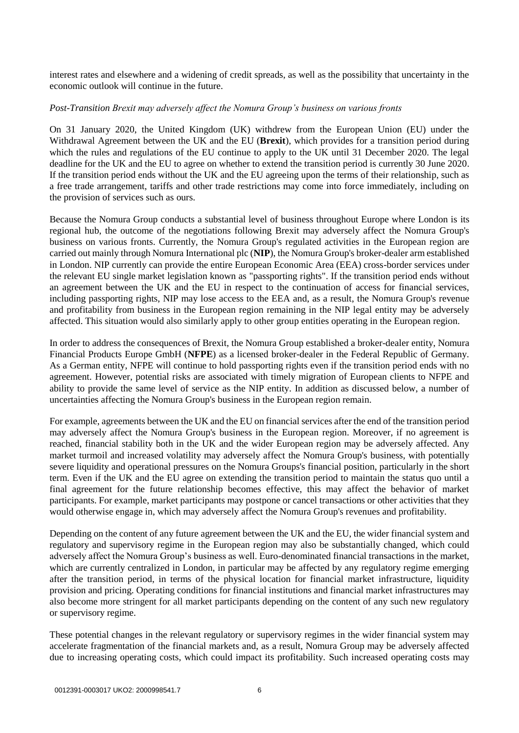interest rates and elsewhere and a widening of credit spreads, as well as the possibility that uncertainty in the economic outlook will continue in the future.

#### *Post-Transition Brexit may adversely affect the Nomura Group's business on various fronts*

On 31 January 2020, the United Kingdom (UK) withdrew from the European Union (EU) under the Withdrawal Agreement between the UK and the EU (**Brexit**), which provides for a transition period during which the rules and regulations of the EU continue to apply to the UK until 31 December 2020. The legal deadline for the UK and the EU to agree on whether to extend the transition period is currently 30 June 2020. If the transition period ends without the UK and the EU agreeing upon the terms of their relationship, such as a free trade arrangement, tariffs and other trade restrictions may come into force immediately, including on the provision of services such as ours.

Because the Nomura Group conducts a substantial level of business throughout Europe where London is its regional hub, the outcome of the negotiations following Brexit may adversely affect the Nomura Group's business on various fronts. Currently, the Nomura Group's regulated activities in the European region are carried out mainly through Nomura International plc (**NIP**), the Nomura Group's broker-dealer arm established in London. NIP currently can provide the entire European Economic Area (EEA) cross-border services under the relevant EU single market legislation known as "passporting rights". If the transition period ends without an agreement between the UK and the EU in respect to the continuation of access for financial services, including passporting rights, NIP may lose access to the EEA and, as a result, the Nomura Group's revenue and profitability from business in the European region remaining in the NIP legal entity may be adversely affected. This situation would also similarly apply to other group entities operating in the European region.

In order to address the consequences of Brexit, the Nomura Group established a broker-dealer entity, Nomura Financial Products Europe GmbH (**NFPE**) as a licensed broker-dealer in the Federal Republic of Germany. As a German entity, NFPE will continue to hold passporting rights even if the transition period ends with no agreement. However, potential risks are associated with timely migration of European clients to NFPE and ability to provide the same level of service as the NIP entity. In addition as discussed below, a number of uncertainties affecting the Nomura Group's business in the European region remain.

For example, agreements between the UK and the EU on financial services after the end of the transition period may adversely affect the Nomura Group's business in the European region. Moreover, if no agreement is reached, financial stability both in the UK and the wider European region may be adversely affected. Any market turmoil and increased volatility may adversely affect the Nomura Group's business, with potentially severe liquidity and operational pressures on the Nomura Groups's financial position, particularly in the short term. Even if the UK and the EU agree on extending the transition period to maintain the status quo until a final agreement for the future relationship becomes effective, this may affect the behavior of market participants. For example, market participants may postpone or cancel transactions or other activities that they would otherwise engage in, which may adversely affect the Nomura Group's revenues and profitability.

Depending on the content of any future agreement between the UK and the EU, the wider financial system and regulatory and supervisory regime in the European region may also be substantially changed, which could adversely affect the Nomura Group's business as well. Euro-denominated financial transactions in the market, which are currently centralized in London, in particular may be affected by any regulatory regime emerging after the transition period, in terms of the physical location for financial market infrastructure, liquidity provision and pricing. Operating conditions for financial institutions and financial market infrastructures may also become more stringent for all market participants depending on the content of any such new regulatory or supervisory regime.

These potential changes in the relevant regulatory or supervisory regimes in the wider financial system may accelerate fragmentation of the financial markets and, as a result, Nomura Group may be adversely affected due to increasing operating costs, which could impact its profitability. Such increased operating costs may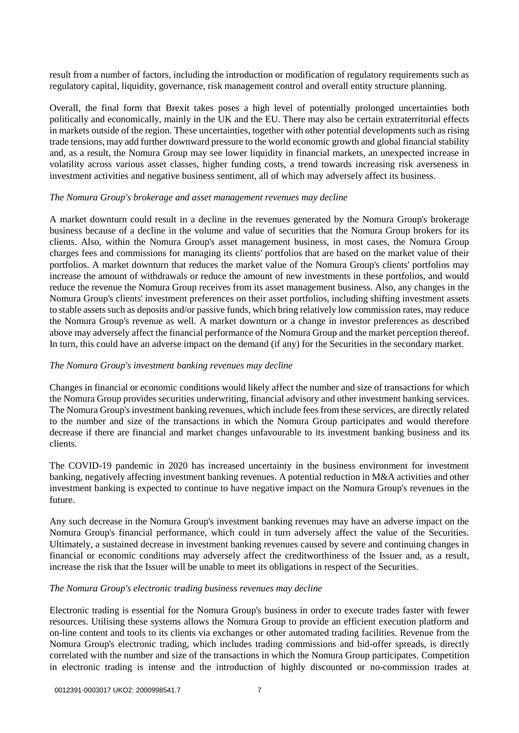result from a number of factors, including the introduction or modification of regulatory requirements such as regulatory capital, liquidity, governance, risk management control and overall entity structure planning.

Overall, the final form that Brexit takes poses a high level of potentially prolonged uncertainties both politically and economically, mainly in the UK and the EU. There may also be certain extraterritorial effects in markets outside of the region. These uncertainties, together with other potential developments such as rising trade tensions, may add further downward pressure to the world economic growth and global financial stability and, as a result, the Nomura Group may see lower liquidity in financial markets, an unexpected increase in volatility across various asset classes, higher funding costs, a trend towards increasing risk averseness in investment activities and negative business sentiment, all of which may adversely affect its business.

#### *The Nomura Group's brokerage and asset management revenues may decline*

A market downturn could result in a decline in the revenues generated by the Nomura Group's brokerage business because of a decline in the volume and value of securities that the Nomura Group brokers for its clients. Also, within the Nomura Group's asset management business, in most cases, the Nomura Group charges fees and commissions for managing its clients' portfolios that are based on the market value of their portfolios. A market downturn that reduces the market value of the Nomura Group's clients' portfolios may increase the amount of withdrawals or reduce the amount of new investments in these portfolios, and would reduce the revenue the Nomura Group receives from its asset management business. Also, any changes in the Nomura Group's clients' investment preferences on their asset portfolios, including shifting investment assets to stable assets such as deposits and/or passive funds, which bring relatively low commission rates, may reduce the Nomura Group's revenue as well. A market downturn or a change in investor preferences as described above may adversely affect the financial performance of the Nomura Group and the market perception thereof. In turn, this could have an adverse impact on the demand (if any) for the Securities in the secondary market.

#### *The Nomura Group's investment banking revenues may decline*

Changes in financial or economic conditions would likely affect the number and size of transactions for which the Nomura Group provides securities underwriting, financial advisory and other investment banking services. The Nomura Group's investment banking revenues, which include fees from these services, are directly related to the number and size of the transactions in which the Nomura Group participates and would therefore decrease if there are financial and market changes unfavourable to its investment banking business and its clients.

The COVID-19 pandemic in 2020 has increased uncertainty in the business environment for investment banking, negatively affecting investment banking revenues. A potential reduction in M&A activities and other investment banking is expected to continue to have negative impact on the Nomura Group's revenues in the future.

Any such decrease in the Nomura Group's investment banking revenues may have an adverse impact on the Nomura Group's financial performance, which could in turn adversely affect the value of the Securities. Ultimately, a sustained decrease in investment banking revenues caused by severe and continuing changes in financial or economic conditions may adversely affect the creditworthiness of the Issuer and, as a result, increase the risk that the Issuer will be unable to meet its obligations in respect of the Securities.

#### *The Nomura Group's electronic trading business revenues may decline*

Electronic trading is essential for the Nomura Group's business in order to execute trades faster with fewer resources. Utilising these systems allows the Nomura Group to provide an efficient execution platform and on-line content and tools to its clients via exchanges or other automated trading facilities. Revenue from the Nomura Group's electronic trading, which includes trading commissions and bid-offer spreads, is directly correlated with the number and size of the transactions in which the Nomura Group participates. Competition in electronic trading is intense and the introduction of highly discounted or no-commission trades at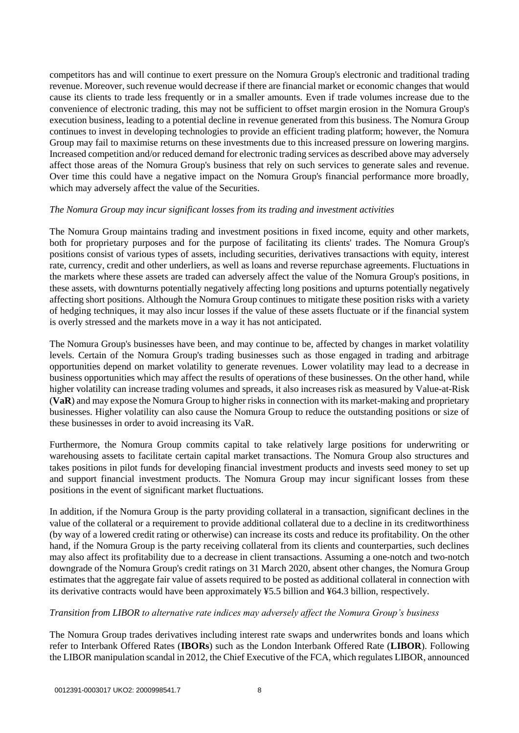competitors has and will continue to exert pressure on the Nomura Group's electronic and traditional trading revenue. Moreover, such revenue would decrease if there are financial market or economic changes that would cause its clients to trade less frequently or in a smaller amounts. Even if trade volumes increase due to the convenience of electronic trading, this may not be sufficient to offset margin erosion in the Nomura Group's execution business, leading to a potential decline in revenue generated from this business. The Nomura Group continues to invest in developing technologies to provide an efficient trading platform; however, the Nomura Group may fail to maximise returns on these investments due to this increased pressure on lowering margins. Increased competition and/or reduced demand for electronic trading services as described above may adversely affect those areas of the Nomura Group's business that rely on such services to generate sales and revenue. Over time this could have a negative impact on the Nomura Group's financial performance more broadly, which may adversely affect the value of the Securities.

#### *The Nomura Group may incur significant losses from its trading and investment activities*

The Nomura Group maintains trading and investment positions in fixed income, equity and other markets, both for proprietary purposes and for the purpose of facilitating its clients' trades. The Nomura Group's positions consist of various types of assets, including securities, derivatives transactions with equity, interest rate, currency, credit and other underliers, as well as loans and reverse repurchase agreements. Fluctuations in the markets where these assets are traded can adversely affect the value of the Nomura Group's positions, in these assets, with downturns potentially negatively affecting long positions and upturns potentially negatively affecting short positions. Although the Nomura Group continues to mitigate these position risks with a variety of hedging techniques, it may also incur losses if the value of these assets fluctuate or if the financial system is overly stressed and the markets move in a way it has not anticipated.

The Nomura Group's businesses have been, and may continue to be, affected by changes in market volatility levels. Certain of the Nomura Group's trading businesses such as those engaged in trading and arbitrage opportunities depend on market volatility to generate revenues. Lower volatility may lead to a decrease in business opportunities which may affect the results of operations of these businesses. On the other hand, while higher volatility can increase trading volumes and spreads, it also increases risk as measured by Value-at-Risk (**VaR**) and may expose the Nomura Group to higher risks in connection with its market-making and proprietary businesses. Higher volatility can also cause the Nomura Group to reduce the outstanding positions or size of these businesses in order to avoid increasing its VaR.

Furthermore, the Nomura Group commits capital to take relatively large positions for underwriting or warehousing assets to facilitate certain capital market transactions. The Nomura Group also structures and takes positions in pilot funds for developing financial investment products and invests seed money to set up and support financial investment products. The Nomura Group may incur significant losses from these positions in the event of significant market fluctuations.

In addition, if the Nomura Group is the party providing collateral in a transaction, significant declines in the value of the collateral or a requirement to provide additional collateral due to a decline in its creditworthiness (by way of a lowered credit rating or otherwise) can increase its costs and reduce its profitability. On the other hand, if the Nomura Group is the party receiving collateral from its clients and counterparties, such declines may also affect its profitability due to a decrease in client transactions. Assuming a one-notch and two-notch downgrade of the Nomura Group's credit ratings on 31 March 2020, absent other changes, the Nomura Group estimates that the aggregate fair value of assets required to be posted as additional collateral in connection with its derivative contracts would have been approximately ¥5.5 billion and ¥64.3 billion, respectively.

#### *Transition from LIBOR to alternative rate indices may adversely affect the Nomura Group's business*

The Nomura Group trades derivatives including interest rate swaps and underwrites bonds and loans which refer to Interbank Offered Rates (**IBORs**) such as the London Interbank Offered Rate (**LIBOR**). Following the LIBOR manipulation scandal in 2012, the Chief Executive of the FCA, which regulates LIBOR, announced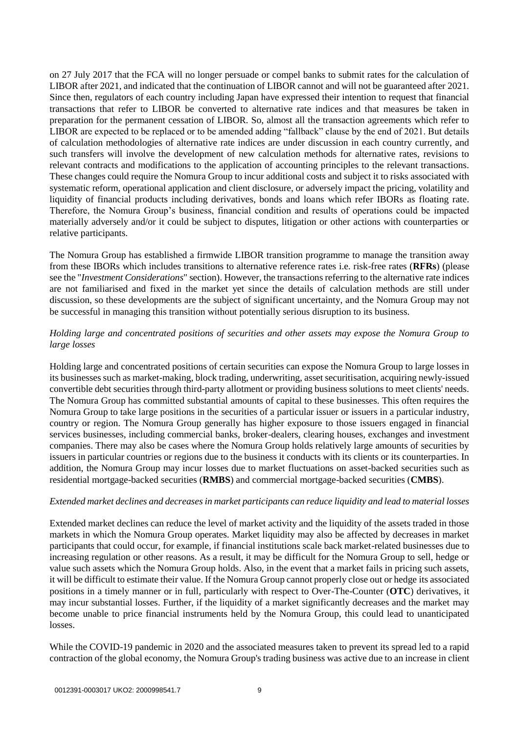on 27 July 2017 that the FCA will no longer persuade or compel banks to submit rates for the calculation of LIBOR after 2021, and indicated that the continuation of LIBOR cannot and will not be guaranteed after 2021. Since then, regulators of each country including Japan have expressed their intention to request that financial transactions that refer to LIBOR be converted to alternative rate indices and that measures be taken in preparation for the permanent cessation of LIBOR. So, almost all the transaction agreements which refer to LIBOR are expected to be replaced or to be amended adding "fallback" clause by the end of 2021. But details of calculation methodologies of alternative rate indices are under discussion in each country currently, and such transfers will involve the development of new calculation methods for alternative rates, revisions to relevant contracts and modifications to the application of accounting principles to the relevant transactions. These changes could require the Nomura Group to incur additional costs and subject it to risks associated with systematic reform, operational application and client disclosure, or adversely impact the pricing, volatility and liquidity of financial products including derivatives, bonds and loans which refer IBORs as floating rate. Therefore, the Nomura Group's business, financial condition and results of operations could be impacted materially adversely and/or it could be subject to disputes, litigation or other actions with counterparties or relative participants.

The Nomura Group has established a firmwide LIBOR transition programme to manage the transition away from these IBORs which includes transitions to alternative reference rates i.e. risk-free rates (**RFRs**) (please see the "*Investment Considerations*" section). However, the transactions referring to the alternative rate indices are not familiarised and fixed in the market yet since the details of calculation methods are still under discussion, so these developments are the subject of significant uncertainty, and the Nomura Group may not be successful in managing this transition without potentially serious disruption to its business.

# *Holding large and concentrated positions of securities and other assets may expose the Nomura Group to large losses*

Holding large and concentrated positions of certain securities can expose the Nomura Group to large losses in its businesses such as market-making, block trading, underwriting, asset securitisation, acquiring newly-issued convertible debt securities through third-party allotment or providing business solutions to meet clients' needs. The Nomura Group has committed substantial amounts of capital to these businesses. This often requires the Nomura Group to take large positions in the securities of a particular issuer or issuers in a particular industry, country or region. The Nomura Group generally has higher exposure to those issuers engaged in financial services businesses, including commercial banks, broker-dealers, clearing houses, exchanges and investment companies. There may also be cases where the Nomura Group holds relatively large amounts of securities by issuers in particular countries or regions due to the business it conducts with its clients or its counterparties. In addition, the Nomura Group may incur losses due to market fluctuations on asset-backed securities such as residential mortgage-backed securities (**RMBS**) and commercial mortgage-backed securities (**CMBS**).

# *Extended market declines and decreases in market participants can reduce liquidity and lead to material losses*

Extended market declines can reduce the level of market activity and the liquidity of the assets traded in those markets in which the Nomura Group operates. Market liquidity may also be affected by decreases in market participants that could occur, for example, if financial institutions scale back market-related businesses due to increasing regulation or other reasons. As a result, it may be difficult for the Nomura Group to sell, hedge or value such assets which the Nomura Group holds. Also, in the event that a market fails in pricing such assets, it will be difficult to estimate their value. If the Nomura Group cannot properly close out or hedge its associated positions in a timely manner or in full, particularly with respect to Over-The-Counter (**OTC**) derivatives, it may incur substantial losses. Further, if the liquidity of a market significantly decreases and the market may become unable to price financial instruments held by the Nomura Group, this could lead to unanticipated losses.

While the COVID-19 pandemic in 2020 and the associated measures taken to prevent its spread led to a rapid contraction of the global economy, the Nomura Group's trading business was active due to an increase in client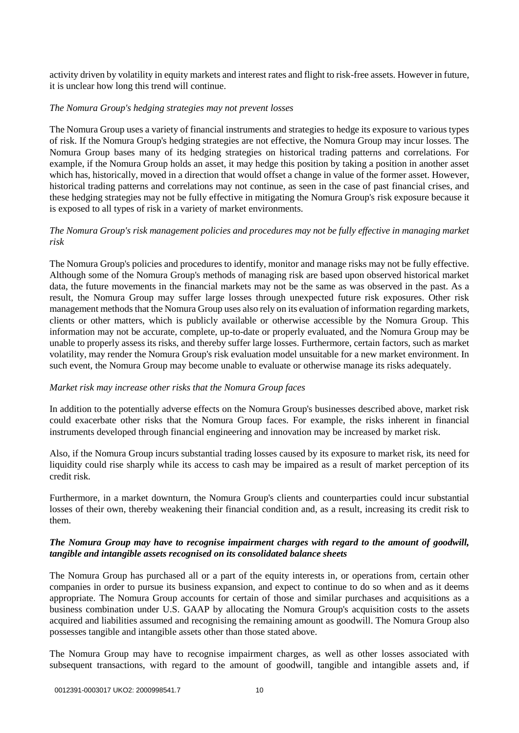activity driven by volatility in equity markets and interest rates and flight to risk-free assets. However in future, it is unclear how long this trend will continue.

#### *The Nomura Group's hedging strategies may not prevent losses*

The Nomura Group uses a variety of financial instruments and strategies to hedge its exposure to various types of risk. If the Nomura Group's hedging strategies are not effective, the Nomura Group may incur losses. The Nomura Group bases many of its hedging strategies on historical trading patterns and correlations. For example, if the Nomura Group holds an asset, it may hedge this position by taking a position in another asset which has, historically, moved in a direction that would offset a change in value of the former asset. However, historical trading patterns and correlations may not continue, as seen in the case of past financial crises, and these hedging strategies may not be fully effective in mitigating the Nomura Group's risk exposure because it is exposed to all types of risk in a variety of market environments.

# *The Nomura Group's risk management policies and procedures may not be fully effective in managing market risk*

The Nomura Group's policies and procedures to identify, monitor and manage risks may not be fully effective. Although some of the Nomura Group's methods of managing risk are based upon observed historical market data, the future movements in the financial markets may not be the same as was observed in the past. As a result, the Nomura Group may suffer large losses through unexpected future risk exposures. Other risk management methods that the Nomura Group uses also rely on its evaluation of information regarding markets, clients or other matters, which is publicly available or otherwise accessible by the Nomura Group. This information may not be accurate, complete, up-to-date or properly evaluated, and the Nomura Group may be unable to properly assess its risks, and thereby suffer large losses. Furthermore, certain factors, such as market volatility, may render the Nomura Group's risk evaluation model unsuitable for a new market environment. In such event, the Nomura Group may become unable to evaluate or otherwise manage its risks adequately.

# *Market risk may increase other risks that the Nomura Group faces*

In addition to the potentially adverse effects on the Nomura Group's businesses described above, market risk could exacerbate other risks that the Nomura Group faces. For example, the risks inherent in financial instruments developed through financial engineering and innovation may be increased by market risk.

Also, if the Nomura Group incurs substantial trading losses caused by its exposure to market risk, its need for liquidity could rise sharply while its access to cash may be impaired as a result of market perception of its credit risk.

Furthermore, in a market downturn, the Nomura Group's clients and counterparties could incur substantial losses of their own, thereby weakening their financial condition and, as a result, increasing its credit risk to them.

#### *The Nomura Group may have to recognise impairment charges with regard to the amount of goodwill, tangible and intangible assets recognised on its consolidated balance sheets*

The Nomura Group has purchased all or a part of the equity interests in, or operations from, certain other companies in order to pursue its business expansion, and expect to continue to do so when and as it deems appropriate. The Nomura Group accounts for certain of those and similar purchases and acquisitions as a business combination under U.S. GAAP by allocating the Nomura Group's acquisition costs to the assets acquired and liabilities assumed and recognising the remaining amount as goodwill. The Nomura Group also possesses tangible and intangible assets other than those stated above.

The Nomura Group may have to recognise impairment charges, as well as other losses associated with subsequent transactions, with regard to the amount of goodwill, tangible and intangible assets and, if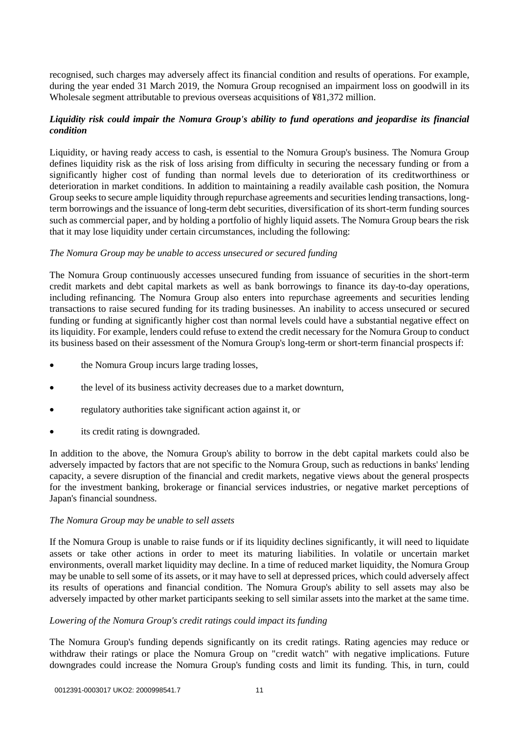recognised, such charges may adversely affect its financial condition and results of operations. For example, during the year ended 31 March 2019, the Nomura Group recognised an impairment loss on goodwill in its Wholesale segment attributable to previous overseas acquisitions of ¥81,372 million.

# *Liquidity risk could impair the Nomura Group's ability to fund operations and jeopardise its financial condition*

Liquidity, or having ready access to cash, is essential to the Nomura Group's business. The Nomura Group defines liquidity risk as the risk of loss arising from difficulty in securing the necessary funding or from a significantly higher cost of funding than normal levels due to deterioration of its creditworthiness or deterioration in market conditions. In addition to maintaining a readily available cash position, the Nomura Group seeks to secure ample liquidity through repurchase agreements and securities lending transactions, longterm borrowings and the issuance of long-term debt securities, diversification of its short-term funding sources such as commercial paper, and by holding a portfolio of highly liquid assets. The Nomura Group bears the risk that it may lose liquidity under certain circumstances, including the following:

# *The Nomura Group may be unable to access unsecured or secured funding*

The Nomura Group continuously accesses unsecured funding from issuance of securities in the short-term credit markets and debt capital markets as well as bank borrowings to finance its day-to-day operations, including refinancing. The Nomura Group also enters into repurchase agreements and securities lending transactions to raise secured funding for its trading businesses. An inability to access unsecured or secured funding or funding at significantly higher cost than normal levels could have a substantial negative effect on its liquidity. For example, lenders could refuse to extend the credit necessary for the Nomura Group to conduct its business based on their assessment of the Nomura Group's long-term or short-term financial prospects if:

- the Nomura Group incurs large trading losses,
- the level of its business activity decreases due to a market downturn,
- regulatory authorities take significant action against it, or
- its credit rating is downgraded.

In addition to the above, the Nomura Group's ability to borrow in the debt capital markets could also be adversely impacted by factors that are not specific to the Nomura Group, such as reductions in banks' lending capacity, a severe disruption of the financial and credit markets, negative views about the general prospects for the investment banking, brokerage or financial services industries, or negative market perceptions of Japan's financial soundness.

#### *The Nomura Group may be unable to sell assets*

If the Nomura Group is unable to raise funds or if its liquidity declines significantly, it will need to liquidate assets or take other actions in order to meet its maturing liabilities. In volatile or uncertain market environments, overall market liquidity may decline. In a time of reduced market liquidity, the Nomura Group may be unable to sell some of its assets, or it may have to sell at depressed prices, which could adversely affect its results of operations and financial condition. The Nomura Group's ability to sell assets may also be adversely impacted by other market participants seeking to sell similar assets into the market at the same time.

#### *Lowering of the Nomura Group's credit ratings could impact its funding*

The Nomura Group's funding depends significantly on its credit ratings. Rating agencies may reduce or withdraw their ratings or place the Nomura Group on "credit watch" with negative implications. Future downgrades could increase the Nomura Group's funding costs and limit its funding. This, in turn, could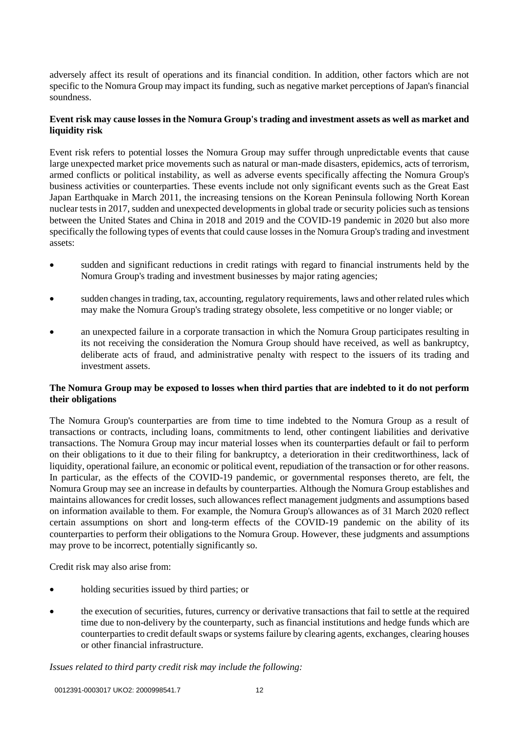adversely affect its result of operations and its financial condition. In addition, other factors which are not specific to the Nomura Group may impact its funding, such as negative market perceptions of Japan's financial soundness.

# **Event risk may cause losses in the Nomura Group's trading and investment assets as well as market and liquidity risk**

Event risk refers to potential losses the Nomura Group may suffer through unpredictable events that cause large unexpected market price movements such as natural or man-made disasters, epidemics, acts of terrorism, armed conflicts or political instability, as well as adverse events specifically affecting the Nomura Group's business activities or counterparties. These events include not only significant events such as the Great East Japan Earthquake in March 2011, the increasing tensions on the Korean Peninsula following North Korean nuclear tests in 2017, sudden and unexpected developments in global trade or security policies such as tensions between the United States and China in 2018 and 2019 and the COVID-19 pandemic in 2020 but also more specifically the following types of events that could cause losses in the Nomura Group's trading and investment assets:

- sudden and significant reductions in credit ratings with regard to financial instruments held by the Nomura Group's trading and investment businesses by major rating agencies;
- sudden changes in trading, tax, accounting, regulatory requirements, laws and other related rules which may make the Nomura Group's trading strategy obsolete, less competitive or no longer viable; or
- an unexpected failure in a corporate transaction in which the Nomura Group participates resulting in its not receiving the consideration the Nomura Group should have received, as well as bankruptcy, deliberate acts of fraud, and administrative penalty with respect to the issuers of its trading and investment assets.

#### **The Nomura Group may be exposed to losses when third parties that are indebted to it do not perform their obligations**

The Nomura Group's counterparties are from time to time indebted to the Nomura Group as a result of transactions or contracts, including loans, commitments to lend, other contingent liabilities and derivative transactions. The Nomura Group may incur material losses when its counterparties default or fail to perform on their obligations to it due to their filing for bankruptcy, a deterioration in their creditworthiness, lack of liquidity, operational failure, an economic or political event, repudiation of the transaction or for other reasons. In particular, as the effects of the COVID-19 pandemic, or governmental responses thereto, are felt, the Nomura Group may see an increase in defaults by counterparties. Although the Nomura Group establishes and maintains allowances for credit losses, such allowances reflect management judgments and assumptions based on information available to them. For example, the Nomura Group's allowances as of 31 March 2020 reflect certain assumptions on short and long-term effects of the COVID-19 pandemic on the ability of its counterparties to perform their obligations to the Nomura Group. However, these judgments and assumptions may prove to be incorrect, potentially significantly so.

Credit risk may also arise from:

- holding securities issued by third parties; or
- the execution of securities, futures, currency or derivative transactions that fail to settle at the required time due to non-delivery by the counterparty, such as financial institutions and hedge funds which are counterparties to credit default swaps or systems failure by clearing agents, exchanges, clearing houses or other financial infrastructure.

#### *Issues related to third party credit risk may include the following:*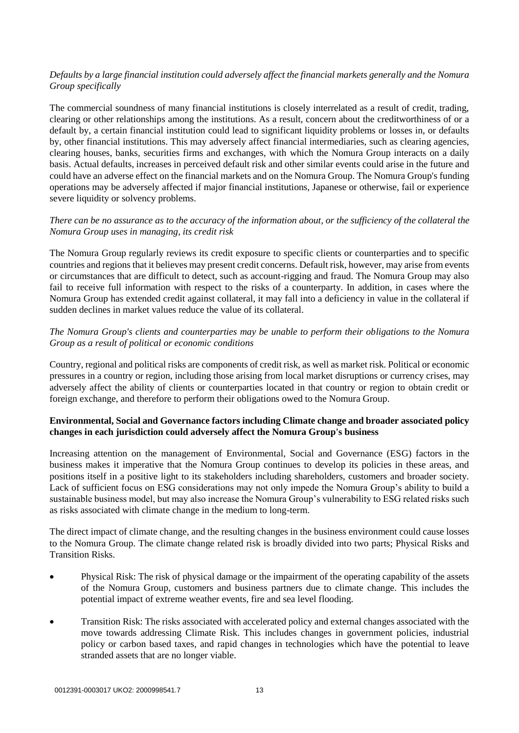# *Defaults by a large financial institution could adversely affect the financial markets generally and the Nomura Group specifically*

The commercial soundness of many financial institutions is closely interrelated as a result of credit, trading, clearing or other relationships among the institutions. As a result, concern about the creditworthiness of or a default by, a certain financial institution could lead to significant liquidity problems or losses in, or defaults by, other financial institutions. This may adversely affect financial intermediaries, such as clearing agencies, clearing houses, banks, securities firms and exchanges, with which the Nomura Group interacts on a daily basis. Actual defaults, increases in perceived default risk and other similar events could arise in the future and could have an adverse effect on the financial markets and on the Nomura Group. The Nomura Group's funding operations may be adversely affected if major financial institutions, Japanese or otherwise, fail or experience severe liquidity or solvency problems.

# *There can be no assurance as to the accuracy of the information about, or the sufficiency of the collateral the Nomura Group uses in managing, its credit risk*

The Nomura Group regularly reviews its credit exposure to specific clients or counterparties and to specific countries and regions that it believes may present credit concerns. Default risk, however, may arise from events or circumstances that are difficult to detect, such as account-rigging and fraud. The Nomura Group may also fail to receive full information with respect to the risks of a counterparty. In addition, in cases where the Nomura Group has extended credit against collateral, it may fall into a deficiency in value in the collateral if sudden declines in market values reduce the value of its collateral.

# *The Nomura Group's clients and counterparties may be unable to perform their obligations to the Nomura Group as a result of political or economic conditions*

Country, regional and political risks are components of credit risk, as well as market risk. Political or economic pressures in a country or region, including those arising from local market disruptions or currency crises, may adversely affect the ability of clients or counterparties located in that country or region to obtain credit or foreign exchange, and therefore to perform their obligations owed to the Nomura Group.

# **Environmental, Social and Governance factors including Climate change and broader associated policy changes in each jurisdiction could adversely affect the Nomura Group's business**

Increasing attention on the management of Environmental, Social and Governance (ESG) factors in the business makes it imperative that the Nomura Group continues to develop its policies in these areas, and positions itself in a positive light to its stakeholders including shareholders, customers and broader society. Lack of sufficient focus on ESG considerations may not only impede the Nomura Group's ability to build a sustainable business model, but may also increase the Nomura Group's vulnerability to ESG related risks such as risks associated with climate change in the medium to long-term.

The direct impact of climate change, and the resulting changes in the business environment could cause losses to the Nomura Group. The climate change related risk is broadly divided into two parts; Physical Risks and Transition Risks.

- Physical Risk: The risk of physical damage or the impairment of the operating capability of the assets of the Nomura Group, customers and business partners due to climate change. This includes the potential impact of extreme weather events, fire and sea level flooding.
- Transition Risk: The risks associated with accelerated policy and external changes associated with the move towards addressing Climate Risk. This includes changes in government policies, industrial policy or carbon based taxes, and rapid changes in technologies which have the potential to leave stranded assets that are no longer viable.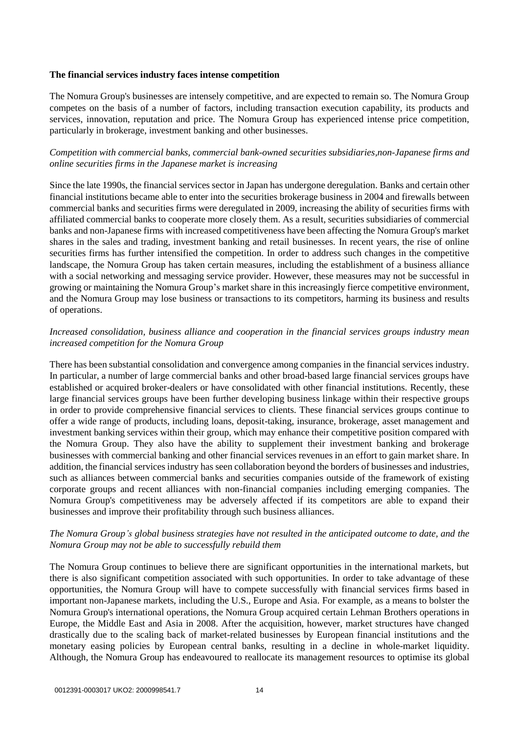#### **The financial services industry faces intense competition**

The Nomura Group's businesses are intensely competitive, and are expected to remain so. The Nomura Group competes on the basis of a number of factors, including transaction execution capability, its products and services, innovation, reputation and price. The Nomura Group has experienced intense price competition, particularly in brokerage, investment banking and other businesses.

# *Competition with commercial banks, commercial bank-owned securities subsidiaries,non-Japanese firms and online securities firms in the Japanese market is increasing*

Since the late 1990s, the financial services sector in Japan has undergone deregulation. Banks and certain other financial institutions became able to enter into the securities brokerage business in 2004 and firewalls between commercial banks and securities firms were deregulated in 2009, increasing the ability of securities firms with affiliated commercial banks to cooperate more closely them. As a result, securities subsidiaries of commercial banks and non-Japanese firms with increased competitiveness have been affecting the Nomura Group's market shares in the sales and trading, investment banking and retail businesses. In recent years, the rise of online securities firms has further intensified the competition. In order to address such changes in the competitive landscape, the Nomura Group has taken certain measures, including the establishment of a business alliance with a social networking and messaging service provider. However, these measures may not be successful in growing or maintaining the Nomura Group's market share in this increasingly fierce competitive environment, and the Nomura Group may lose business or transactions to its competitors, harming its business and results of operations.

# *Increased consolidation, business alliance and cooperation in the financial services groups industry mean increased competition for the Nomura Group*

There has been substantial consolidation and convergence among companies in the financial services industry. In particular, a number of large commercial banks and other broad-based large financial services groups have established or acquired broker-dealers or have consolidated with other financial institutions. Recently, these large financial services groups have been further developing business linkage within their respective groups in order to provide comprehensive financial services to clients. These financial services groups continue to offer a wide range of products, including loans, deposit-taking, insurance, brokerage, asset management and investment banking services within their group, which may enhance their competitive position compared with the Nomura Group. They also have the ability to supplement their investment banking and brokerage businesses with commercial banking and other financial services revenues in an effort to gain market share. In addition, the financial services industry has seen collaboration beyond the borders of businesses and industries, such as alliances between commercial banks and securities companies outside of the framework of existing corporate groups and recent alliances with non-financial companies including emerging companies. The Nomura Group's competitiveness may be adversely affected if its competitors are able to expand their businesses and improve their profitability through such business alliances.

# *The Nomura Group's global business strategies have not resulted in the anticipated outcome to date, and the Nomura Group may not be able to successfully rebuild them*

The Nomura Group continues to believe there are significant opportunities in the international markets, but there is also significant competition associated with such opportunities. In order to take advantage of these opportunities, the Nomura Group will have to compete successfully with financial services firms based in important non-Japanese markets, including the U.S., Europe and Asia. For example, as a means to bolster the Nomura Group's international operations, the Nomura Group acquired certain Lehman Brothers operations in Europe, the Middle East and Asia in 2008. After the acquisition, however, market structures have changed drastically due to the scaling back of market-related businesses by European financial institutions and the monetary easing policies by European central banks, resulting in a decline in whole-market liquidity. Although, the Nomura Group has endeavoured to reallocate its management resources to optimise its global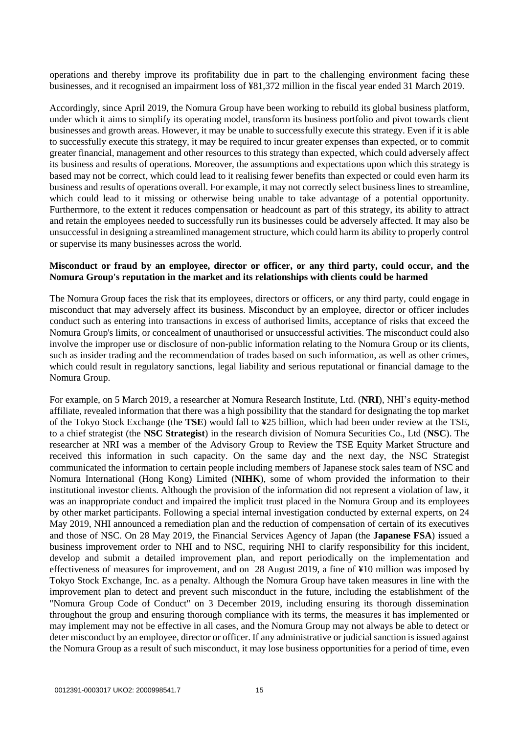operations and thereby improve its profitability due in part to the challenging environment facing these businesses, and it recognised an impairment loss of ¥81,372 million in the fiscal year ended 31 March 2019.

Accordingly, since April 2019, the Nomura Group have been working to rebuild its global business platform, under which it aims to simplify its operating model, transform its business portfolio and pivot towards client businesses and growth areas. However, it may be unable to successfully execute this strategy. Even if it is able to successfully execute this strategy, it may be required to incur greater expenses than expected, or to commit greater financial, management and other resources to this strategy than expected, which could adversely affect its business and results of operations. Moreover, the assumptions and expectations upon which this strategy is based may not be correct, which could lead to it realising fewer benefits than expected or could even harm its business and results of operations overall. For example, it may not correctly select business lines to streamline, which could lead to it missing or otherwise being unable to take advantage of a potential opportunity. Furthermore, to the extent it reduces compensation or headcount as part of this strategy, its ability to attract and retain the employees needed to successfully run its businesses could be adversely affected. It may also be unsuccessful in designing a streamlined management structure, which could harm its ability to properly control or supervise its many businesses across the world.

#### **Misconduct or fraud by an employee, director or officer, or any third party, could occur, and the Nomura Group's reputation in the market and its relationships with clients could be harmed**

The Nomura Group faces the risk that its employees, directors or officers, or any third party, could engage in misconduct that may adversely affect its business. Misconduct by an employee, director or officer includes conduct such as entering into transactions in excess of authorised limits, acceptance of risks that exceed the Nomura Group's limits, or concealment of unauthorised or unsuccessful activities. The misconduct could also involve the improper use or disclosure of non-public information relating to the Nomura Group or its clients, such as insider trading and the recommendation of trades based on such information, as well as other crimes, which could result in regulatory sanctions, legal liability and serious reputational or financial damage to the Nomura Group.

For example, on 5 March 2019, a researcher at Nomura Research Institute, Ltd. (**NRI**), NHI's equity-method affiliate, revealed information that there was a high possibility that the standard for designating the top market of the Tokyo Stock Exchange (the **TSE**) would fall to ¥25 billion, which had been under review at the TSE, to a chief strategist (the **NSC Strategist**) in the research division of Nomura Securities Co., Ltd (**NSC**). The researcher at NRI was a member of the Advisory Group to Review the TSE Equity Market Structure and received this information in such capacity. On the same day and the next day, the NSC Strategist communicated the information to certain people including members of Japanese stock sales team of NSC and Nomura International (Hong Kong) Limited (**NIHK**), some of whom provided the information to their institutional investor clients. Although the provision of the information did not represent a violation of law, it was an inappropriate conduct and impaired the implicit trust placed in the Nomura Group and its employees by other market participants. Following a special internal investigation conducted by external experts, on 24 May 2019, NHI announced a remediation plan and the reduction of compensation of certain of its executives and those of NSC. On 28 May 2019, the Financial Services Agency of Japan (the **Japanese FSA**) issued a business improvement order to NHI and to NSC, requiring NHI to clarify responsibility for this incident, develop and submit a detailed improvement plan, and report periodically on the implementation and effectiveness of measures for improvement, and on 28 August 2019, a fine of ¥10 million was imposed by Tokyo Stock Exchange, Inc. as a penalty. Although the Nomura Group have taken measures in line with the improvement plan to detect and prevent such misconduct in the future, including the establishment of the "Nomura Group Code of Conduct" on 3 December 2019, including ensuring its thorough dissemination throughout the group and ensuring thorough compliance with its terms, the measures it has implemented or may implement may not be effective in all cases, and the Nomura Group may not always be able to detect or deter misconduct by an employee, director or officer. If any administrative or judicial sanction is issued against the Nomura Group as a result of such misconduct, it may lose business opportunities for a period of time, even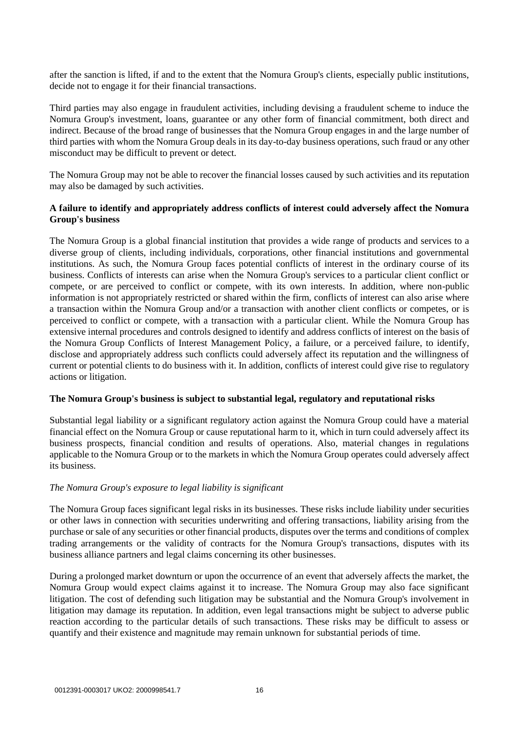after the sanction is lifted, if and to the extent that the Nomura Group's clients, especially public institutions, decide not to engage it for their financial transactions.

Third parties may also engage in fraudulent activities, including devising a fraudulent scheme to induce the Nomura Group's investment, loans, guarantee or any other form of financial commitment, both direct and indirect. Because of the broad range of businesses that the Nomura Group engages in and the large number of third parties with whom the Nomura Group deals in its day-to-day business operations, such fraud or any other misconduct may be difficult to prevent or detect.

The Nomura Group may not be able to recover the financial losses caused by such activities and its reputation may also be damaged by such activities.

## **A failure to identify and appropriately address conflicts of interest could adversely affect the Nomura Group's business**

The Nomura Group is a global financial institution that provides a wide range of products and services to a diverse group of clients, including individuals, corporations, other financial institutions and governmental institutions. As such, the Nomura Group faces potential conflicts of interest in the ordinary course of its business. Conflicts of interests can arise when the Nomura Group's services to a particular client conflict or compete, or are perceived to conflict or compete, with its own interests. In addition, where non-public information is not appropriately restricted or shared within the firm, conflicts of interest can also arise where a transaction within the Nomura Group and/or a transaction with another client conflicts or competes, or is perceived to conflict or compete, with a transaction with a particular client. While the Nomura Group has extensive internal procedures and controls designed to identify and address conflicts of interest on the basis of the Nomura Group Conflicts of Interest Management Policy, a failure, or a perceived failure, to identify, disclose and appropriately address such conflicts could adversely affect its reputation and the willingness of current or potential clients to do business with it. In addition, conflicts of interest could give rise to regulatory actions or litigation.

#### **The Nomura Group's business is subject to substantial legal, regulatory and reputational risks**

Substantial legal liability or a significant regulatory action against the Nomura Group could have a material financial effect on the Nomura Group or cause reputational harm to it, which in turn could adversely affect its business prospects, financial condition and results of operations. Also, material changes in regulations applicable to the Nomura Group or to the markets in which the Nomura Group operates could adversely affect its business.

#### *The Nomura Group's exposure to legal liability is significant*

The Nomura Group faces significant legal risks in its businesses. These risks include liability under securities or other laws in connection with securities underwriting and offering transactions, liability arising from the purchase or sale of any securities or other financial products, disputes over the terms and conditions of complex trading arrangements or the validity of contracts for the Nomura Group's transactions, disputes with its business alliance partners and legal claims concerning its other businesses.

During a prolonged market downturn or upon the occurrence of an event that adversely affects the market, the Nomura Group would expect claims against it to increase. The Nomura Group may also face significant litigation. The cost of defending such litigation may be substantial and the Nomura Group's involvement in litigation may damage its reputation. In addition, even legal transactions might be subject to adverse public reaction according to the particular details of such transactions. These risks may be difficult to assess or quantify and their existence and magnitude may remain unknown for substantial periods of time.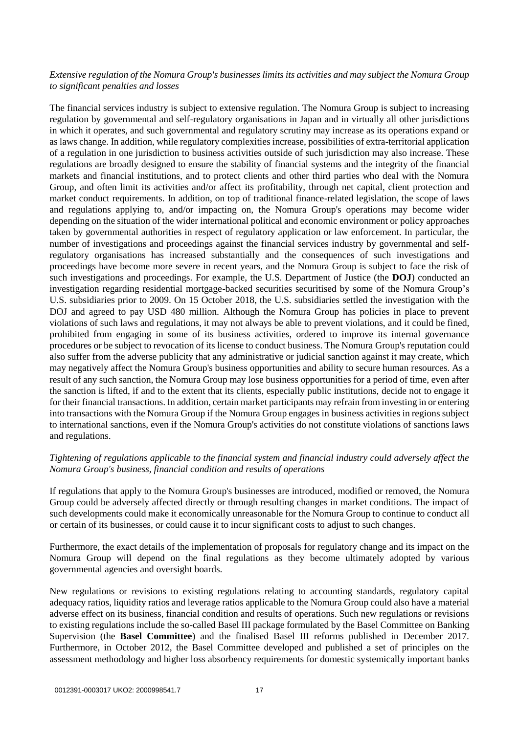# *Extensive regulation of the Nomura Group's businesses limits its activities and may subject the Nomura Group to significant penalties and losses*

The financial services industry is subject to extensive regulation. The Nomura Group is subject to increasing regulation by governmental and self-regulatory organisations in Japan and in virtually all other jurisdictions in which it operates, and such governmental and regulatory scrutiny may increase as its operations expand or as laws change. In addition, while regulatory complexities increase, possibilities of extra-territorial application of a regulation in one jurisdiction to business activities outside of such jurisdiction may also increase. These regulations are broadly designed to ensure the stability of financial systems and the integrity of the financial markets and financial institutions, and to protect clients and other third parties who deal with the Nomura Group, and often limit its activities and/or affect its profitability, through net capital, client protection and market conduct requirements. In addition, on top of traditional finance-related legislation, the scope of laws and regulations applying to, and/or impacting on, the Nomura Group's operations may become wider depending on the situation of the wider international political and economic environment or policy approaches taken by governmental authorities in respect of regulatory application or law enforcement. In particular, the number of investigations and proceedings against the financial services industry by governmental and selfregulatory organisations has increased substantially and the consequences of such investigations and proceedings have become more severe in recent years, and the Nomura Group is subject to face the risk of such investigations and proceedings. For example, the U.S. Department of Justice (the **DOJ**) conducted an investigation regarding residential mortgage-backed securities securitised by some of the Nomura Group's U.S. subsidiaries prior to 2009. On 15 October 2018, the U.S. subsidiaries settled the investigation with the DOJ and agreed to pay USD 480 million. Although the Nomura Group has policies in place to prevent violations of such laws and regulations, it may not always be able to prevent violations, and it could be fined, prohibited from engaging in some of its business activities, ordered to improve its internal governance procedures or be subject to revocation of its license to conduct business. The Nomura Group's reputation could also suffer from the adverse publicity that any administrative or judicial sanction against it may create, which may negatively affect the Nomura Group's business opportunities and ability to secure human resources. As a result of any such sanction, the Nomura Group may lose business opportunities for a period of time, even after the sanction is lifted, if and to the extent that its clients, especially public institutions, decide not to engage it for their financial transactions. In addition, certain market participants may refrain from investing in or entering into transactions with the Nomura Group if the Nomura Group engages in business activities in regions subject to international sanctions, even if the Nomura Group's activities do not constitute violations of sanctions laws and regulations.

#### *Tightening of regulations applicable to the financial system and financial industry could adversely affect the Nomura Group's business, financial condition and results of operations*

If regulations that apply to the Nomura Group's businesses are introduced, modified or removed, the Nomura Group could be adversely affected directly or through resulting changes in market conditions. The impact of such developments could make it economically unreasonable for the Nomura Group to continue to conduct all or certain of its businesses, or could cause it to incur significant costs to adjust to such changes.

Furthermore, the exact details of the implementation of proposals for regulatory change and its impact on the Nomura Group will depend on the final regulations as they become ultimately adopted by various governmental agencies and oversight boards.

New regulations or revisions to existing regulations relating to accounting standards, regulatory capital adequacy ratios, liquidity ratios and leverage ratios applicable to the Nomura Group could also have a material adverse effect on its business, financial condition and results of operations. Such new regulations or revisions to existing regulations include the so-called Basel III package formulated by the Basel Committee on Banking Supervision (the **Basel Committee**) and the finalised Basel III reforms published in December 2017. Furthermore, in October 2012, the Basel Committee developed and published a set of principles on the assessment methodology and higher loss absorbency requirements for domestic systemically important banks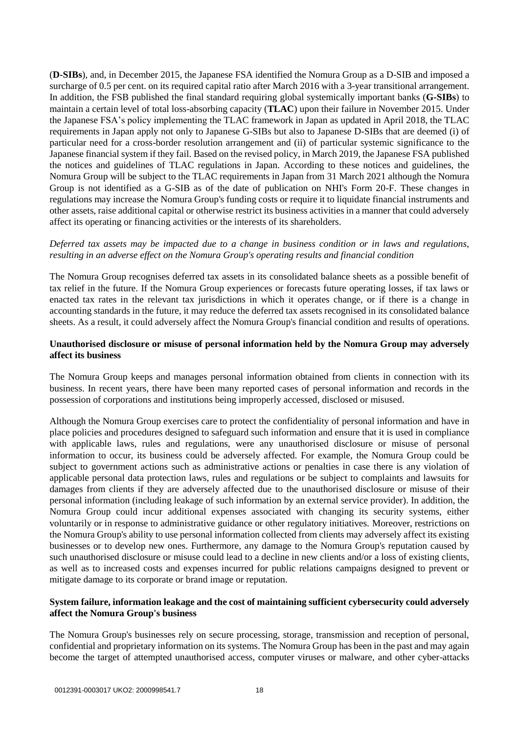(**D-SIBs**), and, in December 2015, the Japanese FSA identified the Nomura Group as a D-SIB and imposed a surcharge of 0.5 per cent. on its required capital ratio after March 2016 with a 3-year transitional arrangement. In addition, the FSB published the final standard requiring global systemically important banks (**G-SIBs**) to maintain a certain level of total loss-absorbing capacity (**TLAC**) upon their failure in November 2015. Under the Japanese FSA's policy implementing the TLAC framework in Japan as updated in April 2018, the TLAC requirements in Japan apply not only to Japanese G-SIBs but also to Japanese D-SIBs that are deemed (i) of particular need for a cross-border resolution arrangement and (ii) of particular systemic significance to the Japanese financial system if they fail. Based on the revised policy, in March 2019, the Japanese FSA published the notices and guidelines of TLAC regulations in Japan. According to these notices and guidelines, the Nomura Group will be subject to the TLAC requirements in Japan from 31 March 2021 although the Nomura Group is not identified as a G-SIB as of the date of publication on NHI's Form 20-F. These changes in regulations may increase the Nomura Group's funding costs or require it to liquidate financial instruments and other assets, raise additional capital or otherwise restrict its business activities in a manner that could adversely affect its operating or financing activities or the interests of its shareholders.

## *Deferred tax assets may be impacted due to a change in business condition or in laws and regulations, resulting in an adverse effect on the Nomura Group's operating results and financial condition*

The Nomura Group recognises deferred tax assets in its consolidated balance sheets as a possible benefit of tax relief in the future. If the Nomura Group experiences or forecasts future operating losses, if tax laws or enacted tax rates in the relevant tax jurisdictions in which it operates change, or if there is a change in accounting standards in the future, it may reduce the deferred tax assets recognised in its consolidated balance sheets. As a result, it could adversely affect the Nomura Group's financial condition and results of operations.

## **Unauthorised disclosure or misuse of personal information held by the Nomura Group may adversely affect its business**

The Nomura Group keeps and manages personal information obtained from clients in connection with its business. In recent years, there have been many reported cases of personal information and records in the possession of corporations and institutions being improperly accessed, disclosed or misused.

Although the Nomura Group exercises care to protect the confidentiality of personal information and have in place policies and procedures designed to safeguard such information and ensure that it is used in compliance with applicable laws, rules and regulations, were any unauthorised disclosure or misuse of personal information to occur, its business could be adversely affected. For example, the Nomura Group could be subject to government actions such as administrative actions or penalties in case there is any violation of applicable personal data protection laws, rules and regulations or be subject to complaints and lawsuits for damages from clients if they are adversely affected due to the unauthorised disclosure or misuse of their personal information (including leakage of such information by an external service provider). In addition, the Nomura Group could incur additional expenses associated with changing its security systems, either voluntarily or in response to administrative guidance or other regulatory initiatives. Moreover, restrictions on the Nomura Group's ability to use personal information collected from clients may adversely affect its existing businesses or to develop new ones. Furthermore, any damage to the Nomura Group's reputation caused by such unauthorised disclosure or misuse could lead to a decline in new clients and/or a loss of existing clients, as well as to increased costs and expenses incurred for public relations campaigns designed to prevent or mitigate damage to its corporate or brand image or reputation.

# **System failure, information leakage and the cost of maintaining sufficient cybersecurity could adversely affect the Nomura Group's business**

The Nomura Group's businesses rely on secure processing, storage, transmission and reception of personal, confidential and proprietary information on its systems. The Nomura Group has been in the past and may again become the target of attempted unauthorised access, computer viruses or malware, and other cyber-attacks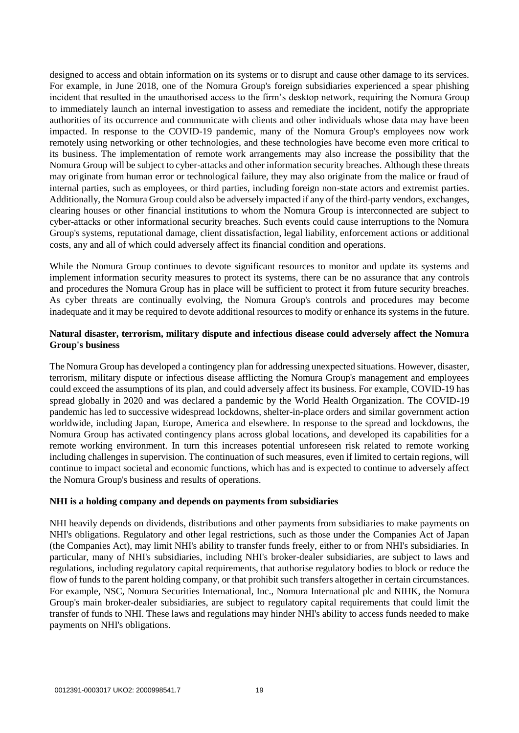designed to access and obtain information on its systems or to disrupt and cause other damage to its services. For example, in June 2018, one of the Nomura Group's foreign subsidiaries experienced a spear phishing incident that resulted in the unauthorised access to the firm's desktop network, requiring the Nomura Group to immediately launch an internal investigation to assess and remediate the incident, notify the appropriate authorities of its occurrence and communicate with clients and other individuals whose data may have been impacted. In response to the COVID-19 pandemic, many of the Nomura Group's employees now work remotely using networking or other technologies, and these technologies have become even more critical to its business. The implementation of remote work arrangements may also increase the possibility that the Nomura Group will be subject to cyber-attacks and other information security breaches. Although these threats may originate from human error or technological failure, they may also originate from the malice or fraud of internal parties, such as employees, or third parties, including foreign non-state actors and extremist parties. Additionally, the Nomura Group could also be adversely impacted if any of the third-party vendors, exchanges, clearing houses or other financial institutions to whom the Nomura Group is interconnected are subject to cyber-attacks or other informational security breaches. Such events could cause interruptions to the Nomura Group's systems, reputational damage, client dissatisfaction, legal liability, enforcement actions or additional costs, any and all of which could adversely affect its financial condition and operations.

While the Nomura Group continues to devote significant resources to monitor and update its systems and implement information security measures to protect its systems, there can be no assurance that any controls and procedures the Nomura Group has in place will be sufficient to protect it from future security breaches. As cyber threats are continually evolving, the Nomura Group's controls and procedures may become inadequate and it may be required to devote additional resources to modify or enhance its systems in the future.

## **Natural disaster, terrorism, military dispute and infectious disease could adversely affect the Nomura Group's business**

The Nomura Group has developed a contingency plan for addressing unexpected situations. However, disaster, terrorism, military dispute or infectious disease afflicting the Nomura Group's management and employees could exceed the assumptions of its plan, and could adversely affect its business. For example, COVID-19 has spread globally in 2020 and was declared a pandemic by the World Health Organization. The COVID-19 pandemic has led to successive widespread lockdowns, shelter-in-place orders and similar government action worldwide, including Japan, Europe, America and elsewhere. In response to the spread and lockdowns, the Nomura Group has activated contingency plans across global locations, and developed its capabilities for a remote working environment. In turn this increases potential unforeseen risk related to remote working including challenges in supervision. The continuation of such measures, even if limited to certain regions, will continue to impact societal and economic functions, which has and is expected to continue to adversely affect the Nomura Group's business and results of operations.

#### **NHI is a holding company and depends on payments from subsidiaries**

NHI heavily depends on dividends, distributions and other payments from subsidiaries to make payments on NHI's obligations. Regulatory and other legal restrictions, such as those under the Companies Act of Japan (the Companies Act), may limit NHI's ability to transfer funds freely, either to or from NHI's subsidiaries. In particular, many of NHI's subsidiaries, including NHI's broker-dealer subsidiaries, are subject to laws and regulations, including regulatory capital requirements, that authorise regulatory bodies to block or reduce the flow of funds to the parent holding company, or that prohibit such transfers altogether in certain circumstances. For example, NSC, Nomura Securities International, Inc., Nomura International plc and NIHK, the Nomura Group's main broker-dealer subsidiaries, are subject to regulatory capital requirements that could limit the transfer of funds to NHI. These laws and regulations may hinder NHI's ability to access funds needed to make payments on NHI's obligations.